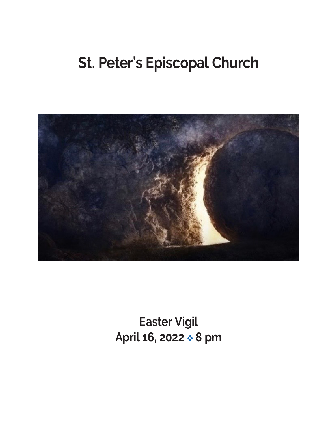# **St. Peter's Episcopal Church**



**Easter Vigil April 16, 2022** ❖ **8 pm**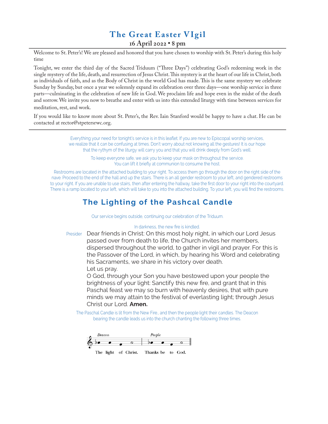# **The Great Easter VIgil**

**16 April 2022 • 8 pm**

Welcome to St. Peter's! We are pleased and honored that you have chosen to worship with St. Peter's during this holy time

Tonight, we enter the third day of the Sacred Triduum ("Three Days") celebrating God's redeeming work in the single mystery of the life, death, and resurrection of Jesus Christ. This mystery is at the heart of our life in Christ, both as individuals of faith, and as the Body of Christ in the world God has made. This is the same mystery we celebrate Sunday by Sunday, but once a year we solemnly expand its celebration over three days—one worship service in three parts—culminating in the celebration of new life in God. We proclaim life and hope even in the midst of the death and sorrow. We invite you now to breathe and enter with us into this extended liturgy with time between services for

meditation, rest, and work.

If you would like to know more about St. Peter's, the Rev. Iain Stanford would be happy to have a chat. He can be contacted at rector@stpetersrwc.org.

> Everything your need for tonight's service is in this leaflet. If you are new to Episcopal worship services, we realize that it can be confusing at times. Don't worry about not knowing all the gestures! It is our hope that the rythym of the liturgy will carry you and that you will drink deeply from God's well.

> > To keep everyone safe, we ask you to keep your mask on throughout the service. You can lift it briefly at communion to consume the host.

Restrooms are located in the attached building to your right. To access them go through the door on the right side of the nave. Proceed to the end of the hall and up the stairs. There is an all gender restroom to your left, and gendered restrooms to your right. If you are unable to use stairs, then after entering the hallway, take the first door to your right into the courtyard. There is a ramp located to your left, which will take to you into the attached building. To your left, you will find the restrooms.

# **The Lighting of the Pashcal Candle**

Our service begins outside, continuing our celebration of the Triduum.

### In darkness, the new fire is kindled.

Presider Dear friends in Christ: On this most holy night, in which our Lord Jesus passed over from death to life, the Church invites her members, dispersed throughout the world, to gather in vigil and prayer. For this is the Passover of the Lord, in which, by hearing his Word and celebrating his Sacraments, we share in his victory over death. Let us pray.

O God, through your Son you have bestowed upon your people the brightness of your light: Sanctify this new fire, and grant that in this Paschal feast we may so burn with heavenly desires, that with pure minds we may attain to the festival of everlasting light; through Jesus Christ our Lord. **Amen.**

The Paschal Candle is lit from the New Fire., and then the people light their candles. The Deacon bearing the candle leads us into the church chanting the following three times.



The light of Christ. Thanks be to God.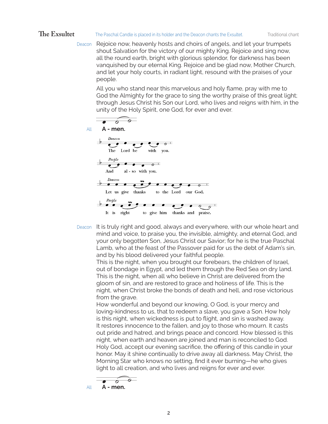### **The Exsultet** The Paschal Candle is placed in its holder and the Deacon chants the Exsultet. Traditional chant

Deacon Rejoice now, heavenly hosts and choirs of angels, and let your trumpets shout Salvation for the victory of our mighty King. Rejoice and sing now, all the round earth, bright with glorious splendor, for darkness has been vanquished by our eternal King. Rejoice and be glad now, Mother Church, and let your holy courts, in radiant light, resound with the praises of your people.

 All you who stand near this marvelous and holy flame, pray with me to God the Almighty for the grace to sing the worthy praise of this great light; through Jesus Christ his Son our Lord, who lives and reigns with him, in the unity of the Holy Spirit, one God, for ever and ever.



Deacon It is truly right and good, always and everywhere, with our whole heart and mind and voice, to praise you, the invisible, almighty, and eternal God, and your only begotten Son, Jesus Christ our Savior; for he is the true Paschal Lamb, who at the feast of the Passover paid for us the debt of Adam's sin, and by his blood delivered your faithful people.

 This is the night, when you brought our forebears, the children of Israel, out of bondage in Egypt, and led them through the Red Sea on dry land. This is the night, when all who believe in Christ are delivered from the gloom of sin, and are restored to grace and holiness of life. This is the night, when Christ broke the bonds of death and hell, and rose victorious from the grave.

 How wonderful and beyond our knowing, O God, is your mercy and loving-kindness to us, that to redeem a slave, you gave a Son. How holy is this night, when wickedness is put to flight, and sin is washed away. It restores innocence to the fallen, and joy to those who mourn. It casts out pride and hatred, and brings peace and concord. How blessed is this night, when earth and heaven are joined and man is reconciled to God. Holy God, accept our evening sacrifice, the offering of this candle in your honor. May it shine continually to drive away all darkness. May Christ, the Morning Star who knows no setting, find it ever burning—he who gives light to all creation, and who lives and reigns for ever and ever.

 $\overline{\bullet}$   $\overline{\circ}$ All **A** - men.

**2**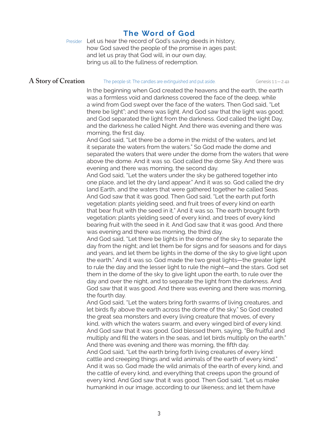# **The Word of God**

Presider Let us hear the record of God's saving deeds in history, how God saved the people of the promise in ages past; and let us pray that God will, in our own day, bring us all to the fullness of redemption.

**A Story of Creation** The people sit. The candles are extinguished and put aside. Genesis 1:1–2:4a

 In the beginning when God created the heavens and the earth, the earth was a formless void and darkness covered the face of the deep, while a wind from God swept over the face of the waters. Then God said, "Let there be light"; and there was light. And God saw that the light was good; and God separated the light from the darkness. God called the light Day, and the darkness he called Night. And there was evening and there was morning, the first day.

 And God said, "Let there be a dome in the midst of the waters, and let it separate the waters from the waters." So God made the dome and separated the waters that were under the dome from the waters that were above the dome. And it was so. God called the dome Sky. And there was evening and there was morning, the second day.

 And God said, "Let the waters under the sky be gathered together into one place, and let the dry land appear." And it was so. God called the dry land Earth, and the waters that were gathered together he called Seas. And God saw that it was good. Then God said, "Let the earth put forth vegetation: plants yielding seed, and fruit trees of every kind on earth that bear fruit with the seed in it." And it was so. The earth brought forth vegetation: plants yielding seed of every kind, and trees of every kind bearing fruit with the seed in it. And God saw that it was good. And there was evening and there was morning, the third day.

 And God said, "Let there be lights in the dome of the sky to separate the day from the night; and let them be for signs and for seasons and for days and years, and let them be lights in the dome of the sky to give light upon the earth." And it was so. God made the two great lights—the greater light to rule the day and the lesser light to rule the night—and the stars. God set them in the dome of the sky to give light upon the earth, to rule over the day and over the night, and to separate the light from the darkness. And God saw that it was good. And there was evening and there was morning, the fourth day.

 And God said, "Let the waters bring forth swarms of living creatures, and let birds fly above the earth across the dome of the sky." So God created the great sea monsters and every living creature that moves, of every kind, with which the waters swarm, and every winged bird of every kind. And God saw that it was good. God blessed them, saying, "Be fruitful and multiply and fill the waters in the seas, and let birds multiply on the earth." And there was evening and there was morning, the fifth day.

 And God said, "Let the earth bring forth living creatures of every kind: cattle and creeping things and wild animals of the earth of every kind." And it was so. God made the wild animals of the earth of every kind, and the cattle of every kind, and everything that creeps upon the ground of every kind. And God saw that it was good. Then God said, "Let us make humankind in our image, according to our likeness; and let them have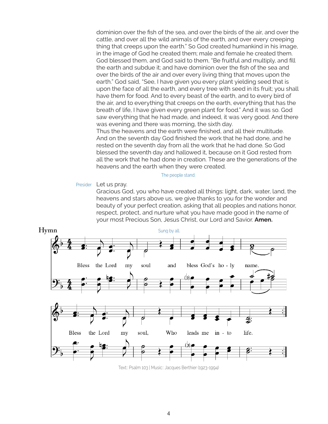dominion over the fish of the sea, and over the birds of the air, and over the cattle, and over all the wild animals of the earth, and over every creeping thing that creeps upon the earth." So God created humankind in his image, in the image of God he created them; male and female he created them. God blessed them, and God said to them, "Be fruitful and multiply, and fill the earth and subdue it; and have dominion over the fish of the sea and over the birds of the air and over every living thing that moves upon the earth." God said, "See, I have given you every plant yielding seed that is upon the face of all the earth, and every tree with seed in its fruit; you shall have them for food. And to every beast of the earth, and to every bird of the air, and to everything that creeps on the earth, everything that has the breath of life, I have given every green plant for food." And it was so. God saw everything that he had made, and indeed, it was very good. And there was evening and there was morning, the sixth day.

 Thus the heavens and the earth were finished, and all their multitude. And on the seventh day God finished the work that he had done, and he rested on the seventh day from all the work that he had done. So God blessed the seventh day and hallowed it, because on it God rested from all the work that he had done in creation. These are the generations of the heavens and the earth when they were created.

#### The people stand.

## Presider Let us pray.

 Gracious God, you who have created all things: light, dark, water, land, the heavens and stars above us, we give thanks to you for the wonder and beauty of your perfect creation, asking that all peoples and nations honor, respect, protect, and nurture what you have made good in the name of your most Precious Son, Jesus Christ, our Lord and Savior. **Amen.**



Text:: Psalm 103 | Music:: Jacques Berthier (1923-1994)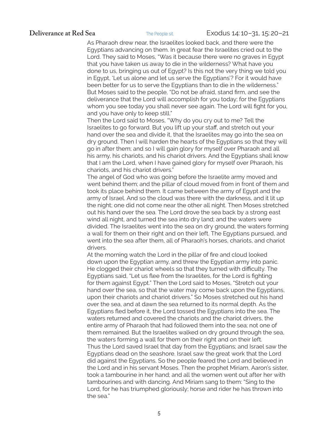As Pharaoh drew near, the Israelites looked back, and there were the Egyptians advancing on them. In great fear the Israelites cried out to the Lord. They said to Moses, "Was it because there were no graves in Egypt that you have taken us away to die in the wilderness? What have you done to us, bringing us out of Egypt? Is this not the very thing we told you in Egypt, 'Let us alone and let us serve the Egyptians'? For it would have been better for us to serve the Egyptians than to die in the wilderness." But Moses said to the people, "Do not be afraid, stand firm, and see the deliverance that the Lord will accomplish for you today; for the Egyptians whom you see today you shall never see again. The Lord will fight for you, and you have only to keep still."

 Then the Lord said to Moses, "Why do you cry out to me? Tell the Israelites to go forward. But you lift up your staff, and stretch out your hand over the sea and divide it, that the Israelites may go into the sea on dry ground. Then I will harden the hearts of the Egyptians so that they will go in after them; and so I will gain glory for myself over Pharaoh and all his army, his chariots, and his chariot drivers. And the Egyptians shall know that I am the Lord, when I have gained glory for myself over Pharaoh, his chariots, and his chariot drivers."

 The angel of God who was going before the Israelite army moved and went behind them; and the pillar of cloud moved from in front of them and took its place behind them. It came between the army of Egypt and the army of Israel. And so the cloud was there with the darkness, and it lit up the night; one did not come near the other all night. Then Moses stretched out his hand over the sea. The Lord drove the sea back by a strong east wind all night, and turned the sea into dry land; and the waters were divided. The Israelites went into the sea on dry ground, the waters forming a wall for them on their right and on their left. The Egyptians pursued, and went into the sea after them, all of Pharaoh's horses, chariots, and chariot drivers.

 At the morning watch the Lord in the pillar of fire and cloud looked down upon the Egyptian army, and threw the Egyptian army into panic. He clogged their chariot wheels so that they turned with difficulty. The Egyptians said, "Let us flee from the Israelites, for the Lord is fighting for them against Egypt." Then the Lord said to Moses, "Stretch out your hand over the sea, so that the water may come back upon the Egyptians, upon their chariots and chariot drivers." So Moses stretched out his hand over the sea, and at dawn the sea returned to its normal depth. As the Egyptians fled before it, the Lord tossed the Egyptians into the sea. The waters returned and covered the chariots and the chariot drivers, the entire army of Pharaoh that had followed them into the sea; not one of them remained. But the Israelites walked on dry ground through the sea, the waters forming a wall for them on their right and on their left. Thus the Lord saved Israel that day from the Egyptians; and Israel saw the Egyptians dead on the seashore. Israel saw the great work that the Lord did against the Egyptians. So the people feared the Lord and believed in the Lord and in his servant Moses. Then the prophet Miriam, Aaron's sister, took a tambourine in her hand; and all the women went out after her with tambourines and with dancing. And Miriam sang to them: "Sing to the Lord, for he has triumphed gloriously; horse and rider he has thrown into the sea."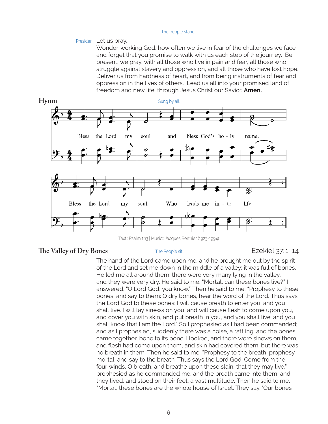#### The people stand.

# Presider Let us pray.

 Wonder-working God, how often we live in fear of the challenges we face and forget that you promise to walk with us each step of the journey. Be present, we pray, with all those who live in pain and fear, all those who struggle against slavery and oppression, and all those who have lost hope. Deliver us from hardness of heart, and from being instruments of fear and oppression in the lives of others. Lead us all into your promised land of freedom and new life, through Jesus Christ our Savior. **Amen.**



Text:: Psalm 103 | Music:: Jacques Berthier (1923-1994)

# **The Valley of Dry Bones** The People sit. Ezekiel 37:1–14

 The hand of the Lord came upon me, and he brought me out by the spirit of the Lord and set me down in the middle of a valley; it was full of bones. He led me all around them; there were very many lying in the valley, and they were very dry. He said to me, "Mortal, can these bones live?" I answered, "O Lord God, you know." Then he said to me, "Prophesy to these bones, and say to them: O dry bones, hear the word of the Lord. Thus says the Lord God to these bones: I will cause breath to enter you, and you shall live. I will lay sinews on you, and will cause flesh to come upon you, and cover you with skin, and put breath in you, and you shall live; and you shall know that I am the Lord." So I prophesied as I had been commanded; and as I prophesied, suddenly there was a noise, a rattling, and the bones came together, bone to its bone. I looked, and there were sinews on them, and flesh had come upon them, and skin had covered them; but there was no breath in them. Then he said to me, "Prophesy to the breath, prophesy, mortal, and say to the breath: Thus says the Lord God: Come from the four winds, O breath, and breathe upon these slain, that they may live." I prophesied as he commanded me, and the breath came into them, and they lived, and stood on their feet, a vast multitude. Then he said to me, "Mortal, these bones are the whole house of Israel. They say, 'Our bones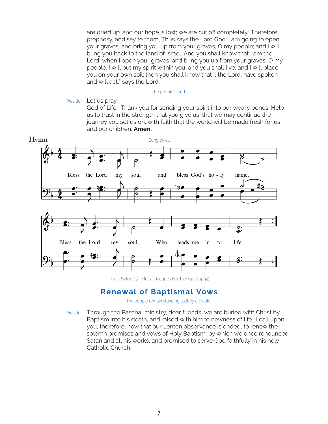are dried up, and our hope is lost; we are cut off completely.' Therefore prophesy, and say to them, Thus says the Lord God: I am going to open your graves, and bring you up from your graves, O my people; and I will bring you back to the land of Israel. And you shall know that I am the Lord, when I open your graves, and bring you up from your graves, O my people. I will put my spirit within you, and you shall live, and I will place you on your own soil; then you shall know that I, the Lord, have spoken and will act," says the Lord.

#### The people stand.

# Presider Let us pray.

 God of Life: Thank you for sending your spirit into our weary bones. Help us to trust in the strength that you give us, that we may continue the journey you set us on, with faith that the world will be made fresh for us and our children. **Amen.**



Text:: Psalm 103 | Music:: Jacques Berthier (1923-1994)

# **Renewal of Baptismal Vows**

The people remain standing as they are able.

Presider Through the Paschal ministry, dear friends, we are buried with Christ by Baptism into his death, and raised with him to newness of life. I call upon you, therefore, now that our Lenten observance is ended, to renew the solemn promises and vows of Holy Baptism, by which we once renounced Satan and all his works, and promised to serve God faithfully in his holy Catholic Church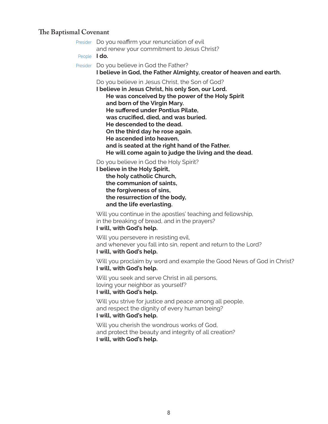# **The Baptismal Covenant**

| Presider Do you reaffirm your renunciation of evil<br>and renew your commitment to Jesus Christ?                                                                                                                                                                                                                                                                                                                                                                             |
|------------------------------------------------------------------------------------------------------------------------------------------------------------------------------------------------------------------------------------------------------------------------------------------------------------------------------------------------------------------------------------------------------------------------------------------------------------------------------|
| People Ido.                                                                                                                                                                                                                                                                                                                                                                                                                                                                  |
| Presider Do you believe in God the Father?<br>I believe in God, the Father Almighty, creator of heaven and earth.                                                                                                                                                                                                                                                                                                                                                            |
| Do you believe in Jesus Christ, the Son of God?<br>I believe in Jesus Christ, his only Son, our Lord.<br>He was conceived by the power of the Holy Spirit<br>and born of the Virgin Mary.<br>He suffered under Pontius Pilate,<br>was crucified, died, and was buried.<br>He descended to the dead.<br>On the third day he rose again.<br>He ascended into heaven,<br>and is seated at the right hand of the Father.<br>He will come again to judge the living and the dead. |
| Do you believe in God the Holy Spirit?<br>I believe in the Holy Spirit,<br>the holy catholic Church,<br>the communion of saints,<br>the forgiveness of sins,<br>the resurrection of the body,<br>and the life everlasting.                                                                                                                                                                                                                                                   |
| Will you continue in the apostles' teaching and fellowship,<br>in the breaking of bread, and in the prayers?<br>I will, with God's help.                                                                                                                                                                                                                                                                                                                                     |
| Will you persevere in resisting evil,<br>and whenever you fall into sin, repent and return to the Lord?<br>I will, with God's help.                                                                                                                                                                                                                                                                                                                                          |
| Will you proclaim by word and example the Good News of God in Christ?<br>I will, with God's help.                                                                                                                                                                                                                                                                                                                                                                            |
| Will you seek and serve Christ in all persons,<br>loving your neighbor as yourself?<br>I will, with God's help.                                                                                                                                                                                                                                                                                                                                                              |
| Will you strive for justice and peace among all people,<br>and respect the dignity of every human being?<br>I will, with God's help.                                                                                                                                                                                                                                                                                                                                         |
| Will you cherish the wondrous works of God,<br>and protect the beauty and integrity of all creation?<br>I will, with God's help.                                                                                                                                                                                                                                                                                                                                             |
|                                                                                                                                                                                                                                                                                                                                                                                                                                                                              |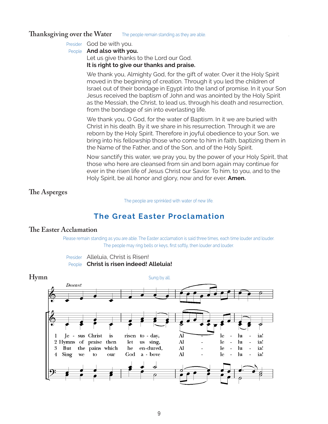## **Thanksgiving over the Water** The people remain standing as they are able.

Presider God be with you.

People **And also with you.** Let us give thanks to the Lord our God. **It is right to give our thanks and praise.**

> We thank you, Almighty God, for the gift of water. Over it the Holy Spirit moved in the beginning of creation. Through it you led the children of Israel out of their bondage in Egypt into the land of promise. In it your Son Jesus received the baptism of John and was anointed by the Holy Spirit as the Messiah, the Christ, to lead us, through his death and resurrection, from the bondage of sin into everlasting life.

> We thank you, O God, for the water of Baptism. In it we are buried with Christ in his death. By it we share in his resurrection. Through it we are reborn by the Holy Spirit. Therefore in joyful obedience to your Son, we bring into his fellowship those who come to him in faith, baptizing them in the Name of the Father, and of the Son, and of the Holy Spirit.

> Now sanctify this water, we pray you, by the power of your Holy Spirit, that those who here are cleansed from sin and born again may continue for ever in the risen life of Jesus Christ our Savior. To him, to you, and to the Holy Spirit, be all honor and glory, now and for ever. **Amen.**

**The Asperges**

The people are sprinkled with water of new life.

# **The Great Easter Proclamation**

# **The Easter Acclamation**

Please remain standing as you are able. The Easter acclamation is said three times, each time louder and louder. The people may ring bells or keys, first softly, then louder and louder.



Presider Alleluia, Christ is Risen! People **Christ is risen indeed! Alleluia!**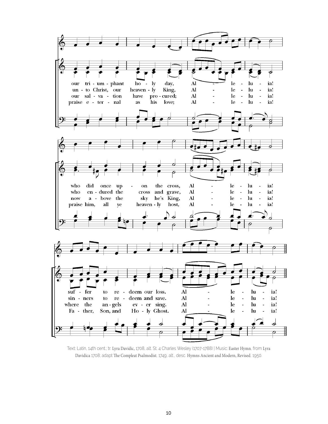

Text: Latin, 14th cent.; tr. Lyra Davidic, 1708, alt. St. 4 Charles Wesley (1707-1788) | Music: Easter Hymn, from Lyra Davidica 1708; adapt The Compleat Psalmodist, 1749, alt., desc. Hymns Ancient and Modern, Revised, 1950.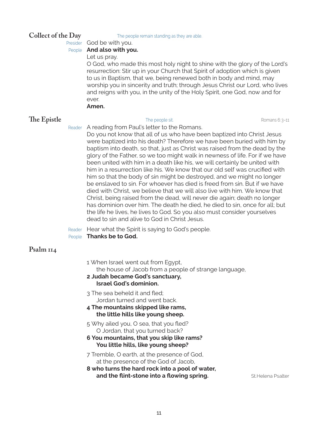**Collect of the Day** The people remain standing as they are able.

# Presider God be with you.

# People **And also with you.**

Let us pray.

O God, who made this most holy night to shine with the glory of the Lord's resurrection: Stir up in your Church that Spirit of adoption which is given to us in Baptism, that we, being renewed both in body and mind, may worship you in sincerity and truth; through Jesus Christ our Lord, who lives and reigns with you, in the unity of the Holy Spirit, one God, now and for ever.

**Amen.**

**The Epistle** The people sit.<br>Reader A reading from Paul's letter to the Romans. A reading from Paul's letter to the Romans.

Do you not know that all of us who have been baptized into Christ Jesus were baptized into his death? Therefore we have been buried with him by baptism into death, so that, just as Christ was raised from the dead by the glory of the Father, so we too might walk in newness of life. For if we have been united with him in a death like his, we will certainly be united with him in a resurrection like his. We know that our old self was crucified with him so that the body of sin might be destroyed, and we might no longer be enslaved to sin. For whoever has died is freed from sin. But if we have died with Christ, we believe that we will also live with him. We know that Christ, being raised from the dead, will never die again; death no longer has dominion over him. The death he died, he died to sin, once for all; but the life he lives, he lives to God. So you also must consider yourselves dead to sin and alive to God in Christ Jesus.

Reader Hear what the Spirit is saying to God's people.

People **Thanks be to God.**

# **Psalm 114**

- 1 When Israel went out from Egypt, the house of Jacob from a people of strange language,
- **2 Judah became God's sanctuary, Israel God's dominion.**
- 3 The sea beheld it and fled; Jordan turned and went back.
- **4 The mountains skipped like rams, the little hills like young sheep.**
- 5 Why ailed you, O sea, that you fled? O Jordan, that you turned back?
- **6 You mountains, that you skip like rams? You little hills, like young sheep?**
- 7 Tremble, O earth, at the presence of God, at the presence of the God of Jacob,
- **8 who turns the hard rock into a pool of water, and the flint-stone into a flowing spring. The State State State Psalter**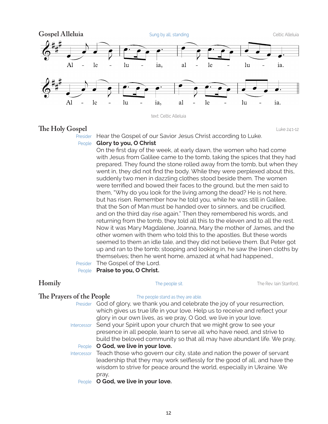

text: Celtic Alleluia

**The Holy Gospel**<br>Presider Hear the Gospel of our Savior Jesus Christ according to Luke. Hear the Gospel of our Savior Jesus Christ according to Luke.

People **Glory to you, O Christ**

 On the first day of the week, at early dawn, the women who had come with Jesus from Galilee came to the tomb, taking the spices that they had prepared. They found the stone rolled away from the tomb, but when they went in, they did not find the body. While they were perplexed about this, suddenly two men in dazzling clothes stood beside them. The women were terrified and bowed their faces to the ground, but the men said to them, "Why do you look for the living among the dead? He is not here, but has risen. Remember how he told you, while he was still in Galilee, that the Son of Man must be handed over to sinners, and be crucified, and on the third day rise again." Then they remembered his words, and returning from the tomb, they told all this to the eleven and to all the rest. Now it was Mary Magdalene, Joanna, Mary the mother of James, and the other women with them who told this to the apostles. But these words seemed to them an idle tale, and they did not believe them. But Peter got up and ran to the tomb; stooping and looking in, he saw the linen cloths by themselves; then he went home, amazed at what had happened., Presider The Gospel of the Lord.

People **Praise to you, O Christ.** 

# **Homily** The people sit. The people sit. **The Prayers of the People** The people stand as they are able. Presider God of glory, we thank you and celebrate the joy of your resurrection, which gives us true life in your love. Help us to receive and reflect your glory in our own lives, as we pray, O God, we live in your love. Intercessor Send your Spirit upon your church that we might grow to see your presence in all people, learn to serve all who have need, and strive to build the beloved community so that all may have abundant life. We pray, People **O God, we live in your love.** Intercessor Teach those who govern our city, state and nation the power of servant leadership that they may work selflessly for the good of all, and have the wisdom to strive for peace around the world, especially in Ukraine. We

- pray,
- People **O God, we live in your love.**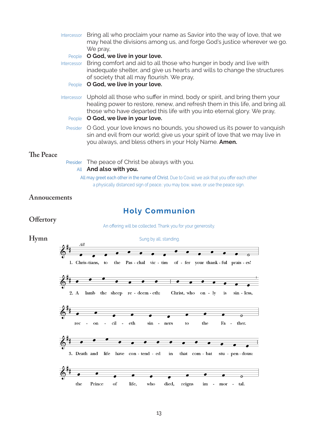Intercessor Bring all who proclaim your name as Savior into the way of love, that we may heal the divisions among us, and forge God's justice wherever we go. We pray,

People **O God, we live in your love.**

Intercessor Bring comfort and aid to all those who hunger in body and live with inadequate shelter, and give us hearts and wills to change the structures of society that all may flourish. We pray,

People **O God, we live in your love.**

Intercessor Uphold all those who suffer in mind, body or spirit, and bring them your healing power to restore, renew, and refresh them in this life, and bring all those who have departed this life with you into eternal glory. We pray,

## People **O God, we live in your love.**

Presider O God, your love knows no bounds, you showed us its power to vanquish sin and evil from our world; give us your spirit of love that we may live in you always, and bless others in your Holy Name. **Amen.**

# **The Peace**

Presider The peace of Christ be always with you.

## All **And also with you.**

All may greet each other in the name of Christ. Due to Covid, we ask that you offer each other a physically distanced sign of peace.: you may bow, wave, or use the peace sign.

# **Annoucements**

# **Holy Communion**

# **Offertory**

An offering will be collected. Thank you for your generosity.

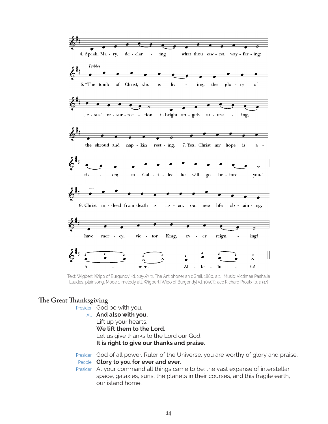

Text: Wigbert [Wipo of Burgundy] (d. 1050?); tr. The Antiphoner an dGrail, 1880, alt. | Music: Victimae Pashalie Laudes, plainsong, Mode 1; melody att. Wigbert [Wipo of Burgendy] (d. 1050?); acc Richard Proulx (b. 1937)

# **The Great Thanksgiving**

Presider God be with you.

All **And also with you.** Lift up your hearts. **We lift them to the Lord.** Let us give thanks to the Lord our God. **It is right to give our thanks and praise.**

Presider God of all power, Ruler of the Universe, you are worthy of glory and praise. People **Glory to you for ever and ever.**

Presider At your command all things came to be: the vast expanse of interstellar space, galaxies, suns, the planets in their courses, and this fragile earth, our island home.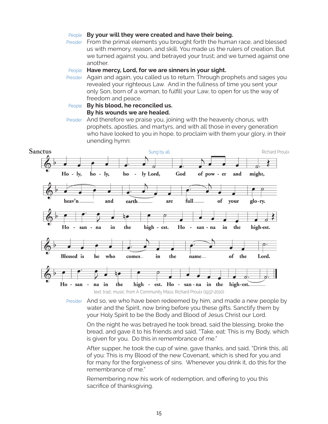# People **By your will they were created and have their being.**

Presider From the primal elements you brought forth the human race, and blessed us with memory, reason, and skill. You made us the rulers of creation. But we turned against you, and betrayed your trust; and we turned against one another.

# People **Have mercy, Lord, for we are sinners in your sight.**

Presider Again and again, you called us to return. Through prophets and sages you revealed your righteous Law. And in the fullness of time you sent your only Son, born of a woman, to fulfill your Law, to open for us the way of freedom and peace.

### People **By his blood, he reconciled us. By his wounds we are healed.**

Presider And therefore we praise you, joining with the heavenly chorus, with prophets, apostles, and martyrs, and with all those in every generation who have looked to you in hope, to proclaim with them your glory, in their unending hymn:



Presider And so, we who have been redeemed by him, and made a new people by water and the Spirit, now bring before you these gifts. Sanctify them by your Holy Spirit to be the Body and Blood of Jesus Christ our Lord.

 On the night he was betrayed he took bread, said the blessing, broke the bread, and gave it to his friends and said, "Take, eat: This is my Body, which is given for you. Do this in remembrance of me."

 After supper, he took the cup of wine, gave thanks, and said, "Drink this, all of you: This is my Blood of the new Covenant, which is shed for you and for many for the forgiveness of sins. Whenever you drink it, do this for the remembrance of me."

 Remembering now his work of redemption, and offering to you this sacrifice of thanksgiving.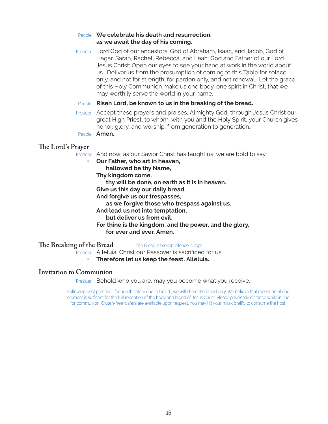# People **We celebrate his death and resurrection, as we await the day of his coming.**

Presider Lord God of our ancestors: God of Abraham, Isaac, and Jacob, God of Hagar, Sarah, Rachel, Rebecca, and Leah; God and Father of our Lord Jesus Christ: Open our eyes to see your hand at work in the world about us. Deliver us from the presumption of coming to this Table for solace only, and not for strength; for pardon only, and not renewal. Let the grace of this Holy Communion make us one body, one spirit in Christ, that we may worthily serve the world in your name.

# People **Risen Lord, be known to us in the breaking of the bread.**

Presider Accept these prayers and praises, Almighty God, through Jesus Christ our great High Priest, to whom, with you and the Holy Spirit, your Church gives honor, glory, and worship, from generation to generation.

# People **Amen.**

# **The Lord's Prayer**

Presider And now, as our Savior Christ has taught us, we are bold to say,

All **Our Father, who art in heaven, hallowed be thy Name,**

**Thy kingdom come,**

**thy will be done, on earth as it is in heaven.**

**Give us this day our daily bread.**

**And forgive us our trespasses,**

**as we forgive those who trespass against us.**

**And lead us not into temptation,**

**but deliver us from evil.**

**For thine is the kingdom, and the power, and the glory, for ever and ever. Amen.**

# **The Breaking of the Bread** The Bread is broken; silence is kept.

Presider Alleluia. Christ our Passover is sacrificed for us.

### All **Therefore let us keep the feast. Alleluia.**

# **Invitation to Communion**

Presider Behold who you are, may you become what you receive.

Following best practices for health safety due to Covid,, we will share the bread only. We believe that reception of one element is sufficent for the full reception of the body and blood of Jesus Christ. Please physically distance while in line for communion. Gluten-free wafers are available upon request. You may lift your mask breifly to consume the host.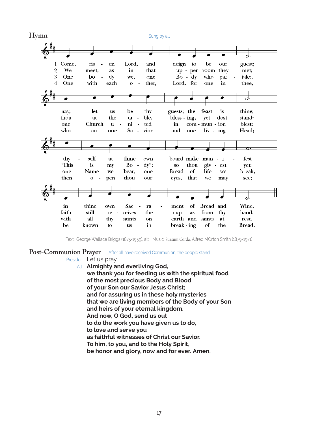**Hymn** Sung by all. Come, ris Lord, and  $deign$ be our guest;  $\mathbf{1}$  $\overline{a}$ en to  $\overline{2}$ We  $\mathbf{i}$ that up - per met; meet, as room they 3 One bo  $\mathbf{d}\mathbf{v}$ we. one  $\overline{\text{Bo}}$  -  $\overline{\text{dy}}$ who take,  $\mathbf{r}$ par  $\overline{a}$ One with ther, Lord, for thee,  $\overline{4}$ each  $\mathbf{o}$  $\overline{\phantom{a}}$ one in ø d. let be thy guests; the is. thine: nay, **us** feast bless - ing, thou ble, stand: **at** the ta  $\overline{\phantom{a}}$ yet dost Church  $\mathbf{n}$  $\mathbb{Z}$ ted  $\mathbf{in}$ com - mun - ion blest; one  $\mathbf u$  $\overline{a}$ ing who **art** one Sa  $\ddot{\phantom{a}}$ vior and one  $\mathbf{h}$  -Head:  $\bullet$ thy self thine board make fest at own man - i "This Body"; thou  $giv$ yet: is my  $SO$ est one Name bear, one **Bread** of life break, we we then  $\mathbf{o}$  $\overline{a}$ pen thou our eyes, that we may see; Wine. in thine own Sac  $\overline{a}$ ra ment of Bread and faith still re ceives the cup as from thy hand. with all thy saints **on** earth and saints at rest. be known in break - ing of the Bread. to **us** 

Text:: George Wallace Briggs (1875-1959), alt. | Music: Sursum Corda, Alfred MOrton Smith (1879-1971)

### **Post-Communion Prayer** After all have received Communion, the people stand.

- Presider Let us pray.
	- All **Almighty and everliving God, we thank you for feeding us with the spiritual food of the most precious Body and Blood of your Son our Savior Jesus Christ; and for assuring us in these holy mysteries** 
		- **that we are living members of the Body of your Son**
		- **and heirs of your eternal kingdom.**
		- **And now, O God, send us out**
		- **to do the work you have given us to do,**
		- **to love and serve you**
		- **as faithful witnesses of Christ our Savior.**
		- **To him, to you, and to the Holy Spirit,**
		- **be honor and glory, now and for ever. Amen.**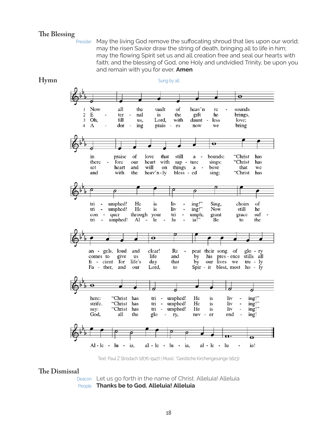# **The Blessing**

Presider May the living God remove the suffocating shroud that lies upon our world; may the risen Savior draw the string of death, bringing all to life in him; may the flowing Spirit set us and all creation free and seal our hearts with faith; and the blessing of God, one Holy and undvidied Trinity, be upon you and remain with you for ever. **Amen**



Text: Paul Z Strodach (1876-1947) | Music: "Geistliche Kirchengesange (1623)

# **The Dismissal**

Deacon Let us go forth in the name of Christ. Alleluia! Alleluia People **Thanks be to God. Alleluia! Alleluia**